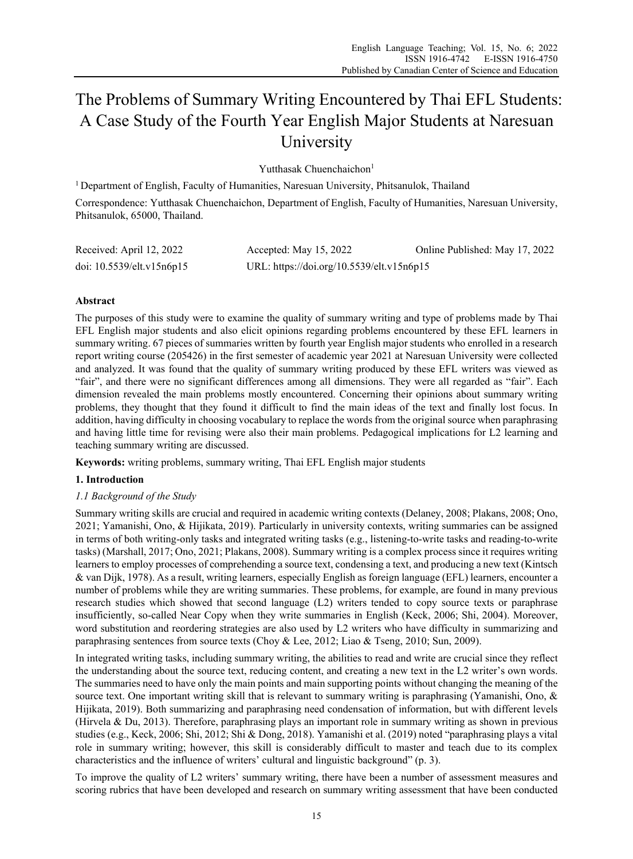# The Problems of Summary Writing Encountered by Thai EFL Students: A Case Study of the Fourth Year English Major Students at Naresuan University

Yutthasak Chuenchaichon<sup>1</sup>

1 Department of English, Faculty of Humanities, Naresuan University, Phitsanulok, Thailand Correspondence: Yutthasak Chuenchaichon, Department of English, Faculty of Humanities, Naresuan University, Phitsanulok, 65000, Thailand.

| Received: April 12, 2022  | Accepted: May 15, 2022                    | Online Published: May 17, 2022 |
|---------------------------|-------------------------------------------|--------------------------------|
| doi: 10.5539/elt.v15n6p15 | URL: https://doi.org/10.5539/elt.v15n6p15 |                                |

# **Abstract**

The purposes of this study were to examine the quality of summary writing and type of problems made by Thai EFL English major students and also elicit opinions regarding problems encountered by these EFL learners in summary writing. 67 pieces of summaries written by fourth year English major students who enrolled in a research report writing course (205426) in the first semester of academic year 2021 at Naresuan University were collected and analyzed. It was found that the quality of summary writing produced by these EFL writers was viewed as "fair", and there were no significant differences among all dimensions. They were all regarded as "fair". Each dimension revealed the main problems mostly encountered. Concerning their opinions about summary writing problems, they thought that they found it difficult to find the main ideas of the text and finally lost focus. In addition, having difficulty in choosing vocabulary to replace the words from the original source when paraphrasing and having little time for revising were also their main problems. Pedagogical implications for L2 learning and teaching summary writing are discussed.

**Keywords:** writing problems, summary writing, Thai EFL English major students

# **1. Introduction**

## *1.1 Background of the Study*

Summary writing skills are crucial and required in academic writing contexts (Delaney, 2008; Plakans, 2008; Ono, 2021; Yamanishi, Ono, & Hijikata, 2019). Particularly in university contexts, writing summaries can be assigned in terms of both writing-only tasks and integrated writing tasks (e.g., listening-to-write tasks and reading-to-write tasks) (Marshall, 2017; Ono, 2021; Plakans, 2008). Summary writing is a complex process since it requires writing learners to employ processes of comprehending a source text, condensing a text, and producing a new text (Kintsch & van Dijk, 1978). As a result, writing learners, especially English as foreign language (EFL) learners, encounter a number of problems while they are writing summaries. These problems, for example, are found in many previous research studies which showed that second language (L2) writers tended to copy source texts or paraphrase insufficiently, so-called Near Copy when they write summaries in English (Keck, 2006; Shi, 2004). Moreover, word substitution and reordering strategies are also used by L2 writers who have difficulty in summarizing and paraphrasing sentences from source texts (Choy & Lee, 2012; Liao & Tseng, 2010; Sun, 2009).

In integrated writing tasks, including summary writing, the abilities to read and write are crucial since they reflect the understanding about the source text, reducing content, and creating a new text in the L2 writer's own words. The summaries need to have only the main points and main supporting points without changing the meaning of the source text. One important writing skill that is relevant to summary writing is paraphrasing (Yamanishi, Ono, & Hijikata, 2019). Both summarizing and paraphrasing need condensation of information, but with different levels (Hirvela & Du, 2013). Therefore, paraphrasing plays an important role in summary writing as shown in previous studies (e.g., Keck, 2006; Shi, 2012; Shi & Dong, 2018). Yamanishi et al. (2019) noted "paraphrasing plays a vital role in summary writing; however, this skill is considerably difficult to master and teach due to its complex characteristics and the influence of writers' cultural and linguistic background" (p. 3).

To improve the quality of L2 writers' summary writing, there have been a number of assessment measures and scoring rubrics that have been developed and research on summary writing assessment that have been conducted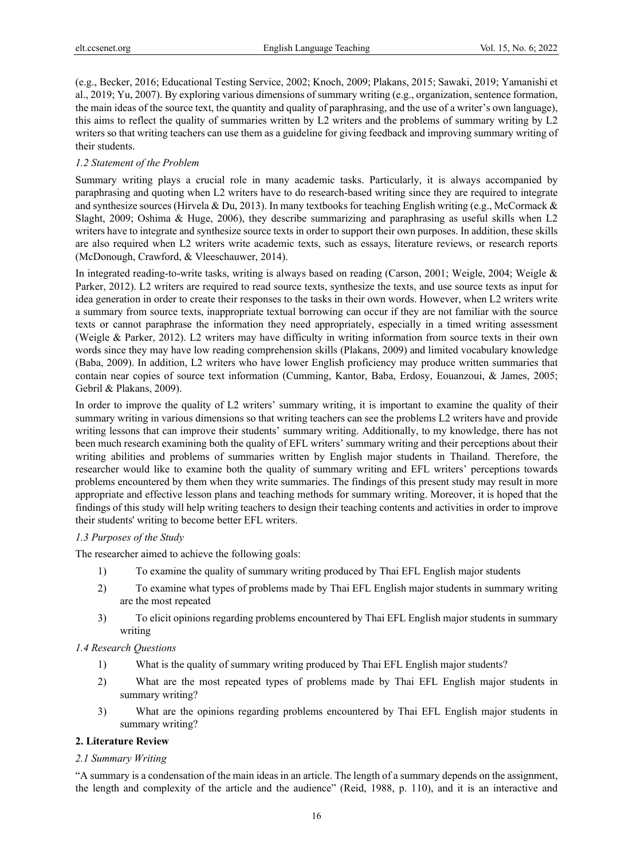(e.g., Becker, 2016; Educational Testing Service, 2002; Knoch, 2009; Plakans, 2015; Sawaki, 2019; Yamanishi et al., 2019; Yu, 2007). By exploring various dimensions of summary writing (e.g., organization, sentence formation, the main ideas of the source text, the quantity and quality of paraphrasing, and the use of a writer's own language), this aims to reflect the quality of summaries written by L2 writers and the problems of summary writing by L2 writers so that writing teachers can use them as a guideline for giving feedback and improving summary writing of their students.

#### *1.2 Statement of the Problem*

Summary writing plays a crucial role in many academic tasks. Particularly, it is always accompanied by paraphrasing and quoting when L2 writers have to do research-based writing since they are required to integrate and synthesize sources (Hirvela & Du, 2013). In many textbooks for teaching English writing (e.g., McCormack & Slaght, 2009; Oshima & Huge, 2006), they describe summarizing and paraphrasing as useful skills when L2 writers have to integrate and synthesize source texts in order to support their own purposes. In addition, these skills are also required when L2 writers write academic texts, such as essays, literature reviews, or research reports (McDonough, Crawford, & Vleeschauwer, 2014).

In integrated reading-to-write tasks, writing is always based on reading (Carson, 2001; Weigle, 2004; Weigle & Parker, 2012). L2 writers are required to read source texts, synthesize the texts, and use source texts as input for idea generation in order to create their responses to the tasks in their own words. However, when L2 writers write a summary from source texts, inappropriate textual borrowing can occur if they are not familiar with the source texts or cannot paraphrase the information they need appropriately, especially in a timed writing assessment (Weigle & Parker, 2012). L2 writers may have difficulty in writing information from source texts in their own words since they may have low reading comprehension skills (Plakans, 2009) and limited vocabulary knowledge (Baba, 2009). In addition, L2 writers who have lower English proficiency may produce written summaries that contain near copies of source text information (Cumming, Kantor, Baba, Erdosy, Eouanzoui, & James, 2005; Gebril & Plakans, 2009).

In order to improve the quality of L2 writers' summary writing, it is important to examine the quality of their summary writing in various dimensions so that writing teachers can see the problems L2 writers have and provide writing lessons that can improve their students' summary writing. Additionally, to my knowledge, there has not been much research examining both the quality of EFL writers' summary writing and their perceptions about their writing abilities and problems of summaries written by English major students in Thailand. Therefore, the researcher would like to examine both the quality of summary writing and EFL writers' perceptions towards problems encountered by them when they write summaries. The findings of this present study may result in more appropriate and effective lesson plans and teaching methods for summary writing. Moreover, it is hoped that the findings of this study will help writing teachers to design their teaching contents and activities in order to improve their students' writing to become better EFL writers.

## *1.3 Purposes of the Study*

The researcher aimed to achieve the following goals:

- 1) To examine the quality of summary writing produced by Thai EFL English major students
- 2) To examine what types of problems made by Thai EFL English major students in summary writing are the most repeated
- 3) To elicit opinions regarding problems encountered by Thai EFL English major students in summary writing

#### *1.4 Research Questions*

- 1) What is the quality of summary writing produced by Thai EFL English major students?
- 2) What are the most repeated types of problems made by Thai EFL English major students in summary writing?
- 3) What are the opinions regarding problems encountered by Thai EFL English major students in summary writing?

#### **2. Literature Review**

#### *2.1 Summary Writing*

"A summary is a condensation of the main ideas in an article. The length of a summary depends on the assignment, the length and complexity of the article and the audience" (Reid, 1988, p. 110), and it is an interactive and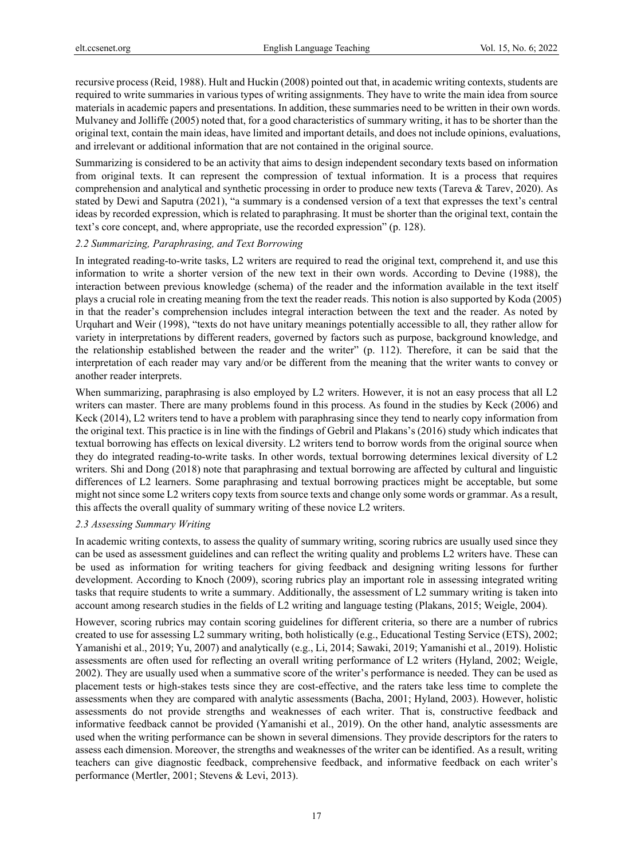recursive process (Reid, 1988). Hult and Huckin (2008) pointed out that, in academic writing contexts, students are required to write summaries in various types of writing assignments. They have to write the main idea from source materials in academic papers and presentations. In addition, these summaries need to be written in their own words. Mulvaney and Jolliffe (2005) noted that, for a good characteristics of summary writing, it has to be shorter than the original text, contain the main ideas, have limited and important details, and does not include opinions, evaluations, and irrelevant or additional information that are not contained in the original source.

Summarizing is considered to be an activity that aims to design independent secondary texts based on information from original texts. It can represent the compression of textual information. It is a process that requires comprehension and analytical and synthetic processing in order to produce new texts (Tareva & Tarev, 2020). As stated by Dewi and Saputra (2021), "a summary is a condensed version of a text that expresses the text's central ideas by recorded expression, which is related to paraphrasing. It must be shorter than the original text, contain the text's core concept, and, where appropriate, use the recorded expression" (p. 128).

#### *2.2 Summarizing, Paraphrasing, and Text Borrowing*

In integrated reading-to-write tasks, L2 writers are required to read the original text, comprehend it, and use this information to write a shorter version of the new text in their own words. According to Devine (1988), the interaction between previous knowledge (schema) of the reader and the information available in the text itself plays a crucial role in creating meaning from the text the reader reads. This notion is also supported by Koda (2005) in that the reader's comprehension includes integral interaction between the text and the reader. As noted by Urquhart and Weir (1998), "texts do not have unitary meanings potentially accessible to all, they rather allow for variety in interpretations by different readers, governed by factors such as purpose, background knowledge, and the relationship established between the reader and the writer" (p. 112). Therefore, it can be said that the interpretation of each reader may vary and/or be different from the meaning that the writer wants to convey or another reader interprets.

When summarizing, paraphrasing is also employed by L2 writers. However, it is not an easy process that all L2 writers can master. There are many problems found in this process. As found in the studies by Keck (2006) and Keck (2014), L2 writers tend to have a problem with paraphrasing since they tend to nearly copy information from the original text. This practice is in line with the findings of Gebril and Plakans's (2016) study which indicates that textual borrowing has effects on lexical diversity. L2 writers tend to borrow words from the original source when they do integrated reading-to-write tasks. In other words, textual borrowing determines lexical diversity of L2 writers. Shi and Dong (2018) note that paraphrasing and textual borrowing are affected by cultural and linguistic differences of L2 learners. Some paraphrasing and textual borrowing practices might be acceptable, but some might not since some L2 writers copy texts from source texts and change only some words or grammar. As a result, this affects the overall quality of summary writing of these novice L2 writers.

## *2.3 Assessing Summary Writing*

In academic writing contexts, to assess the quality of summary writing, scoring rubrics are usually used since they can be used as assessment guidelines and can reflect the writing quality and problems L2 writers have. These can be used as information for writing teachers for giving feedback and designing writing lessons for further development. According to Knoch (2009), scoring rubrics play an important role in assessing integrated writing tasks that require students to write a summary. Additionally, the assessment of L2 summary writing is taken into account among research studies in the fields of L2 writing and language testing (Plakans, 2015; Weigle, 2004).

However, scoring rubrics may contain scoring guidelines for different criteria, so there are a number of rubrics created to use for assessing L2 summary writing, both holistically (e.g., Educational Testing Service (ETS), 2002; Yamanishi et al., 2019; Yu, 2007) and analytically (e.g., Li, 2014; Sawaki, 2019; Yamanishi et al., 2019). Holistic assessments are often used for reflecting an overall writing performance of L2 writers (Hyland, 2002; Weigle, 2002). They are usually used when a summative score of the writer's performance is needed. They can be used as placement tests or high-stakes tests since they are cost-effective, and the raters take less time to complete the assessments when they are compared with analytic assessments (Bacha, 2001; Hyland, 2003). However, holistic assessments do not provide strengths and weaknesses of each writer. That is, constructive feedback and informative feedback cannot be provided (Yamanishi et al., 2019). On the other hand, analytic assessments are used when the writing performance can be shown in several dimensions. They provide descriptors for the raters to assess each dimension. Moreover, the strengths and weaknesses of the writer can be identified. As a result, writing teachers can give diagnostic feedback, comprehensive feedback, and informative feedback on each writer's performance (Mertler, 2001; Stevens & Levi, 2013).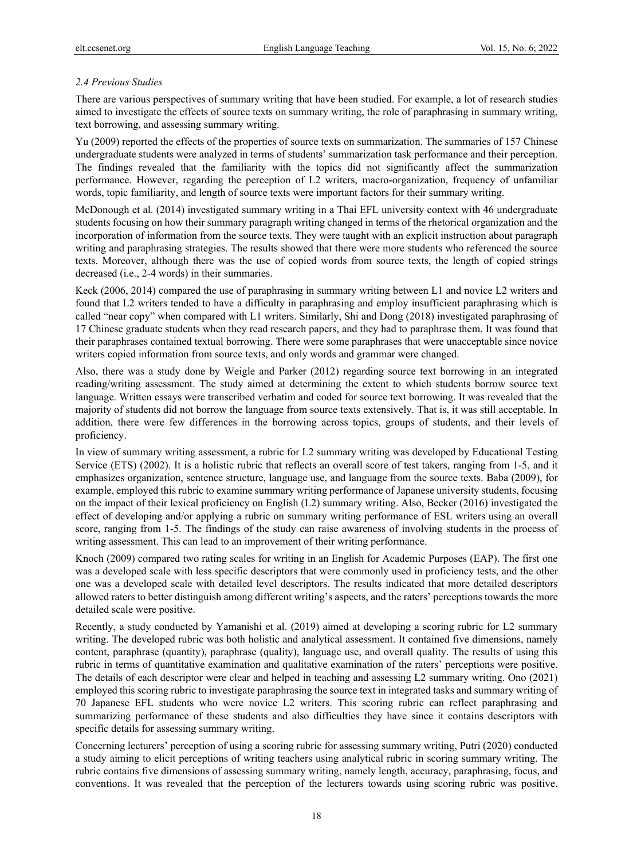# *2.4 Previous Studies*

There are various perspectives of summary writing that have been studied. For example, a lot of research studies aimed to investigate the effects of source texts on summary writing, the role of paraphrasing in summary writing, text borrowing, and assessing summary writing.

Yu (2009) reported the effects of the properties of source texts on summarization. The summaries of 157 Chinese undergraduate students were analyzed in terms of students' summarization task performance and their perception. The findings revealed that the familiarity with the topics did not significantly affect the summarization performance. However, regarding the perception of L2 writers, macro-organization, frequency of unfamiliar words, topic familiarity, and length of source texts were important factors for their summary writing.

McDonough et al. (2014) investigated summary writing in a Thai EFL university context with 46 undergraduate students focusing on how their summary paragraph writing changed in terms of the rhetorical organization and the incorporation of information from the source texts. They were taught with an explicit instruction about paragraph writing and paraphrasing strategies. The results showed that there were more students who referenced the source texts. Moreover, although there was the use of copied words from source texts, the length of copied strings decreased (i.e., 2-4 words) in their summaries.

Keck (2006, 2014) compared the use of paraphrasing in summary writing between L1 and novice L2 writers and found that L2 writers tended to have a difficulty in paraphrasing and employ insufficient paraphrasing which is called "near copy" when compared with L1 writers. Similarly, Shi and Dong (2018) investigated paraphrasing of 17 Chinese graduate students when they read research papers, and they had to paraphrase them. It was found that their paraphrases contained textual borrowing. There were some paraphrases that were unacceptable since novice writers copied information from source texts, and only words and grammar were changed.

Also, there was a study done by Weigle and Parker (2012) regarding source text borrowing in an integrated reading/writing assessment. The study aimed at determining the extent to which students borrow source text language. Written essays were transcribed verbatim and coded for source text borrowing. It was revealed that the majority of students did not borrow the language from source texts extensively. That is, it was still acceptable. In addition, there were few differences in the borrowing across topics, groups of students, and their levels of proficiency.

In view of summary writing assessment, a rubric for L2 summary writing was developed by Educational Testing Service (ETS) (2002). It is a holistic rubric that reflects an overall score of test takers, ranging from 1-5, and it emphasizes organization, sentence structure, language use, and language from the source texts. Baba (2009), for example, employed this rubric to examine summary writing performance of Japanese university students, focusing on the impact of their lexical proficiency on English (L2) summary writing. Also, Becker (2016) investigated the effect of developing and/or applying a rubric on summary writing performance of ESL writers using an overall score, ranging from 1-5. The findings of the study can raise awareness of involving students in the process of writing assessment. This can lead to an improvement of their writing performance.

Knoch (2009) compared two rating scales for writing in an English for Academic Purposes (EAP). The first one was a developed scale with less specific descriptors that were commonly used in proficiency tests, and the other one was a developed scale with detailed level descriptors. The results indicated that more detailed descriptors allowed raters to better distinguish among different writing's aspects, and the raters' perceptions towards the more detailed scale were positive.

Recently, a study conducted by Yamanishi et al. (2019) aimed at developing a scoring rubric for L2 summary writing. The developed rubric was both holistic and analytical assessment. It contained five dimensions, namely content, paraphrase (quantity), paraphrase (quality), language use, and overall quality. The results of using this rubric in terms of quantitative examination and qualitative examination of the raters' perceptions were positive. The details of each descriptor were clear and helped in teaching and assessing L2 summary writing. Ono (2021) employed this scoring rubric to investigate paraphrasing the source text in integrated tasks and summary writing of 70 Japanese EFL students who were novice L2 writers. This scoring rubric can reflect paraphrasing and summarizing performance of these students and also difficulties they have since it contains descriptors with specific details for assessing summary writing.

Concerning lecturers' perception of using a scoring rubric for assessing summary writing, Putri (2020) conducted a study aiming to elicit perceptions of writing teachers using analytical rubric in scoring summary writing. The rubric contains five dimensions of assessing summary writing, namely length, accuracy, paraphrasing, focus, and conventions. It was revealed that the perception of the lecturers towards using scoring rubric was positive.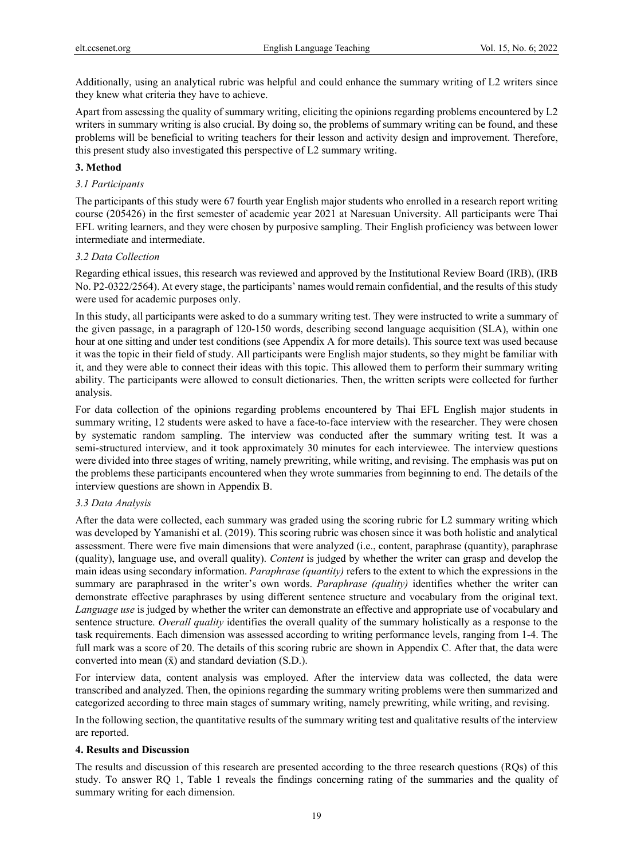Additionally, using an analytical rubric was helpful and could enhance the summary writing of L2 writers since they knew what criteria they have to achieve.

Apart from assessing the quality of summary writing, eliciting the opinions regarding problems encountered by L2 writers in summary writing is also crucial. By doing so, the problems of summary writing can be found, and these problems will be beneficial to writing teachers for their lesson and activity design and improvement. Therefore, this present study also investigated this perspective of L2 summary writing.

## **3. Method**

#### *3.1 Participants*

The participants of this study were 67 fourth year English major students who enrolled in a research report writing course (205426) in the first semester of academic year 2021 at Naresuan University. All participants were Thai EFL writing learners, and they were chosen by purposive sampling. Their English proficiency was between lower intermediate and intermediate.

#### *3.2 Data Collection*

Regarding ethical issues, this research was reviewed and approved by the Institutional Review Board (IRB), (IRB No. P2-0322/2564). At every stage, the participants' names would remain confidential, and the results of this study were used for academic purposes only.

In this study, all participants were asked to do a summary writing test. They were instructed to write a summary of the given passage, in a paragraph of 120-150 words, describing second language acquisition (SLA), within one hour at one sitting and under test conditions (see Appendix A for more details). This source text was used because it was the topic in their field of study. All participants were English major students, so they might be familiar with it, and they were able to connect their ideas with this topic. This allowed them to perform their summary writing ability. The participants were allowed to consult dictionaries. Then, the written scripts were collected for further analysis.

For data collection of the opinions regarding problems encountered by Thai EFL English major students in summary writing, 12 students were asked to have a face-to-face interview with the researcher. They were chosen by systematic random sampling. The interview was conducted after the summary writing test. It was a semi-structured interview, and it took approximately 30 minutes for each interviewee. The interview questions were divided into three stages of writing, namely prewriting, while writing, and revising. The emphasis was put on the problems these participants encountered when they wrote summaries from beginning to end. The details of the interview questions are shown in Appendix B.

## *3.3 Data Analysis*

After the data were collected, each summary was graded using the scoring rubric for L2 summary writing which was developed by Yamanishi et al. (2019). This scoring rubric was chosen since it was both holistic and analytical assessment. There were five main dimensions that were analyzed (i.e., content, paraphrase (quantity), paraphrase (quality), language use, and overall quality). *Content* is judged by whether the writer can grasp and develop the main ideas using secondary information. *Paraphrase (quantity)* refers to the extent to which the expressions in the summary are paraphrased in the writer's own words. *Paraphrase (quality)* identifies whether the writer can demonstrate effective paraphrases by using different sentence structure and vocabulary from the original text. *Language use* is judged by whether the writer can demonstrate an effective and appropriate use of vocabulary and sentence structure. *Overall quality* identifies the overall quality of the summary holistically as a response to the task requirements. Each dimension was assessed according to writing performance levels, ranging from 1-4. The full mark was a score of 20. The details of this scoring rubric are shown in Appendix C. After that, the data were converted into mean  $(\bar{x})$  and standard deviation (S.D.).

For interview data, content analysis was employed. After the interview data was collected, the data were transcribed and analyzed. Then, the opinions regarding the summary writing problems were then summarized and categorized according to three main stages of summary writing, namely prewriting, while writing, and revising.

In the following section, the quantitative results of the summary writing test and qualitative results of the interview are reported.

#### **4. Results and Discussion**

The results and discussion of this research are presented according to the three research questions (RQs) of this study. To answer RQ 1, Table 1 reveals the findings concerning rating of the summaries and the quality of summary writing for each dimension.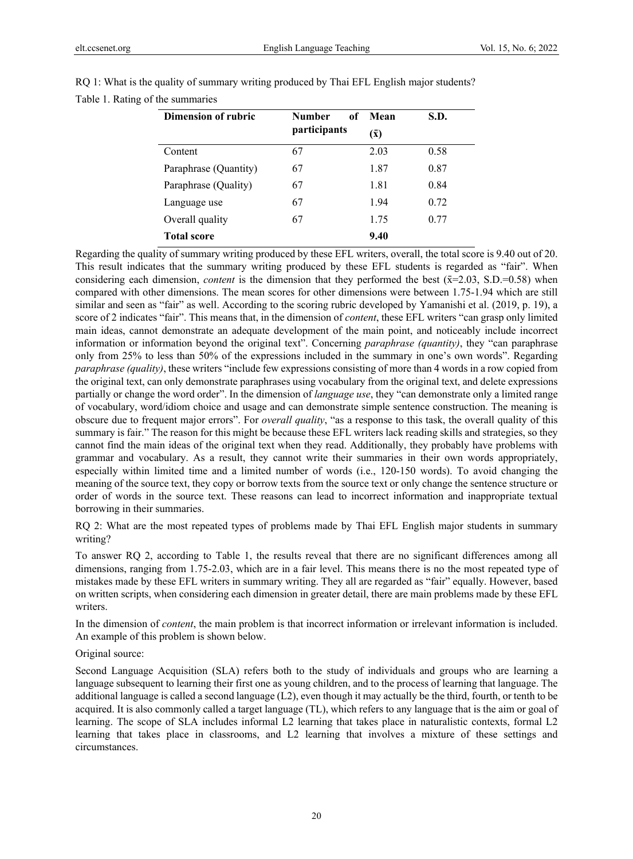| Dimension of rubric   | Number<br>of | Mean        | S.D. |
|-----------------------|--------------|-------------|------|
|                       | participants | $(\bar{x})$ |      |
| Content               | 67           | 2.03        | 0.58 |
| Paraphrase (Quantity) | 67           | 1.87        | 0.87 |
| Paraphrase (Quality)  | 67           | 1.81        | 0.84 |
| Language use          | 67           | 1.94        | 0.72 |
| Overall quality       | 67           | 1.75        | 0.77 |
| <b>Total score</b>    |              | 9.40        |      |

RQ 1: What is the quality of summary writing produced by Thai EFL English major students? Table 1. Rating of the summaries

Regarding the quality of summary writing produced by these EFL writers, overall, the total score is 9.40 out of 20. This result indicates that the summary writing produced by these EFL students is regarded as "fair". When considering each dimension, *content* is the dimension that they performed the best  $(\bar{x}=2.03, S.D.=0.58)$  when compared with other dimensions. The mean scores for other dimensions were between 1.75-1.94 which are still similar and seen as "fair" as well. According to the scoring rubric developed by Yamanishi et al. (2019, p. 19), a score of 2 indicates "fair". This means that, in the dimension of *content*, these EFL writers "can grasp only limited main ideas, cannot demonstrate an adequate development of the main point, and noticeably include incorrect information or information beyond the original text". Concerning *paraphrase (quantity)*, they "can paraphrase only from 25% to less than 50% of the expressions included in the summary in one's own words". Regarding *paraphrase (quality)*, these writers "include few expressions consisting of more than 4 words in a row copied from the original text, can only demonstrate paraphrases using vocabulary from the original text, and delete expressions partially or change the word order". In the dimension of *language use*, they "can demonstrate only a limited range of vocabulary, word/idiom choice and usage and can demonstrate simple sentence construction. The meaning is obscure due to frequent major errors". For *overall quality*, "as a response to this task, the overall quality of this summary is fair." The reason for this might be because these EFL writers lack reading skills and strategies, so they cannot find the main ideas of the original text when they read. Additionally, they probably have problems with grammar and vocabulary. As a result, they cannot write their summaries in their own words appropriately, especially within limited time and a limited number of words (i.e., 120-150 words). To avoid changing the meaning of the source text, they copy or borrow texts from the source text or only change the sentence structure or order of words in the source text. These reasons can lead to incorrect information and inappropriate textual borrowing in their summaries.

RQ 2: What are the most repeated types of problems made by Thai EFL English major students in summary writing?

To answer RQ 2, according to Table 1, the results reveal that there are no significant differences among all dimensions, ranging from 1.75-2.03, which are in a fair level. This means there is no the most repeated type of mistakes made by these EFL writers in summary writing. They all are regarded as "fair" equally. However, based on written scripts, when considering each dimension in greater detail, there are main problems made by these EFL writers.

In the dimension of *content*, the main problem is that incorrect information or irrelevant information is included. An example of this problem is shown below.

Original source:

Second Language Acquisition (SLA) refers both to the study of individuals and groups who are learning a language subsequent to learning their first one as young children, and to the process of learning that language. The additional language is called a second language (L2), even though it may actually be the third, fourth, or tenth to be acquired. It is also commonly called a target language (TL), which refers to any language that is the aim or goal of learning. The scope of SLA includes informal L2 learning that takes place in naturalistic contexts, formal L2 learning that takes place in classrooms, and L2 learning that involves a mixture of these settings and circumstances.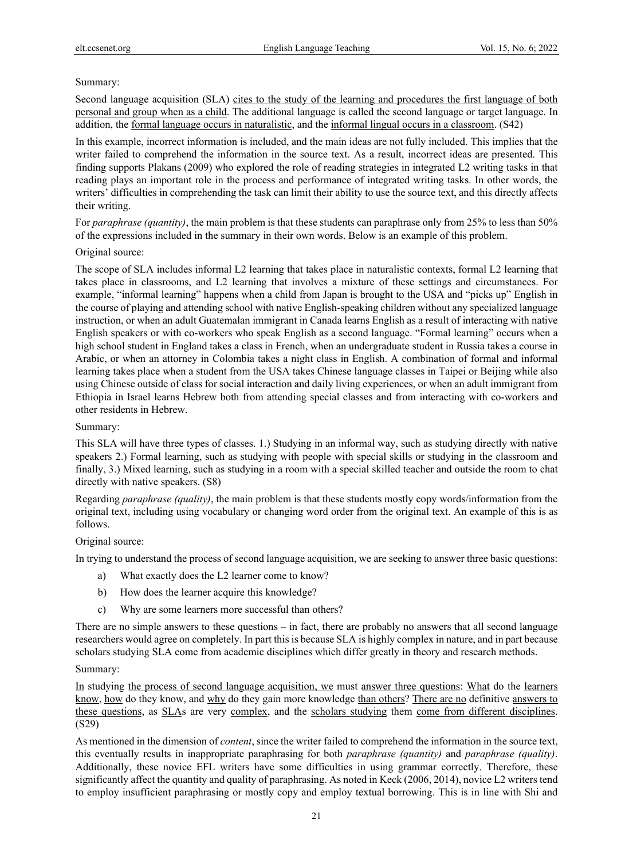## Summary:

Second language acquisition (SLA) cites to the study of the learning and procedures the first language of both personal and group when as a child. The additional language is called the second language or target language. In addition, the formal language occurs in naturalistic, and the informal lingual occurs in a classroom. (S42)

In this example, incorrect information is included, and the main ideas are not fully included. This implies that the writer failed to comprehend the information in the source text. As a result, incorrect ideas are presented. This finding supports Plakans (2009) who explored the role of reading strategies in integrated L2 writing tasks in that reading plays an important role in the process and performance of integrated writing tasks. In other words, the writers' difficulties in comprehending the task can limit their ability to use the source text, and this directly affects their writing.

For *paraphrase (quantity)*, the main problem is that these students can paraphrase only from 25% to less than 50% of the expressions included in the summary in their own words. Below is an example of this problem.

## Original source:

The scope of SLA includes informal L2 learning that takes place in naturalistic contexts, formal L2 learning that takes place in classrooms, and L2 learning that involves a mixture of these settings and circumstances. For example, "informal learning" happens when a child from Japan is brought to the USA and "picks up" English in the course of playing and attending school with native English-speaking children without any specialized language instruction, or when an adult Guatemalan immigrant in Canada learns English as a result of interacting with native English speakers or with co-workers who speak English as a second language. "Formal learning" occurs when a high school student in England takes a class in French, when an undergraduate student in Russia takes a course in Arabic, or when an attorney in Colombia takes a night class in English. A combination of formal and informal learning takes place when a student from the USA takes Chinese language classes in Taipei or Beijing while also using Chinese outside of class for social interaction and daily living experiences, or when an adult immigrant from Ethiopia in Israel learns Hebrew both from attending special classes and from interacting with co-workers and other residents in Hebrew.

## Summary:

This SLA will have three types of classes. 1.) Studying in an informal way, such as studying directly with native speakers 2.) Formal learning, such as studying with people with special skills or studying in the classroom and finally, 3.) Mixed learning, such as studying in a room with a special skilled teacher and outside the room to chat directly with native speakers. (S8)

Regarding *paraphrase (quality)*, the main problem is that these students mostly copy words/information from the original text, including using vocabulary or changing word order from the original text. An example of this is as follows.

## Original source:

In trying to understand the process of second language acquisition, we are seeking to answer three basic questions:

- a) What exactly does the L2 learner come to know?
- b) How does the learner acquire this knowledge?
- c) Why are some learners more successful than others?

There are no simple answers to these questions – in fact, there are probably no answers that all second language researchers would agree on completely. In part this is because SLA is highly complex in nature, and in part because scholars studying SLA come from academic disciplines which differ greatly in theory and research methods.

## Summary:

In studying the process of second language acquisition, we must answer three questions: What do the learners know, how do they know, and why do they gain more knowledge than others? There are no definitive answers to these questions, as SLAs are very complex, and the scholars studying them come from different disciplines. (S29)

As mentioned in the dimension of *content*, since the writer failed to comprehend the information in the source text, this eventually results in inappropriate paraphrasing for both *paraphrase (quantity)* and *paraphrase (quality)*. Additionally, these novice EFL writers have some difficulties in using grammar correctly. Therefore, these significantly affect the quantity and quality of paraphrasing. As noted in Keck (2006, 2014), novice L2 writers tend to employ insufficient paraphrasing or mostly copy and employ textual borrowing. This is in line with Shi and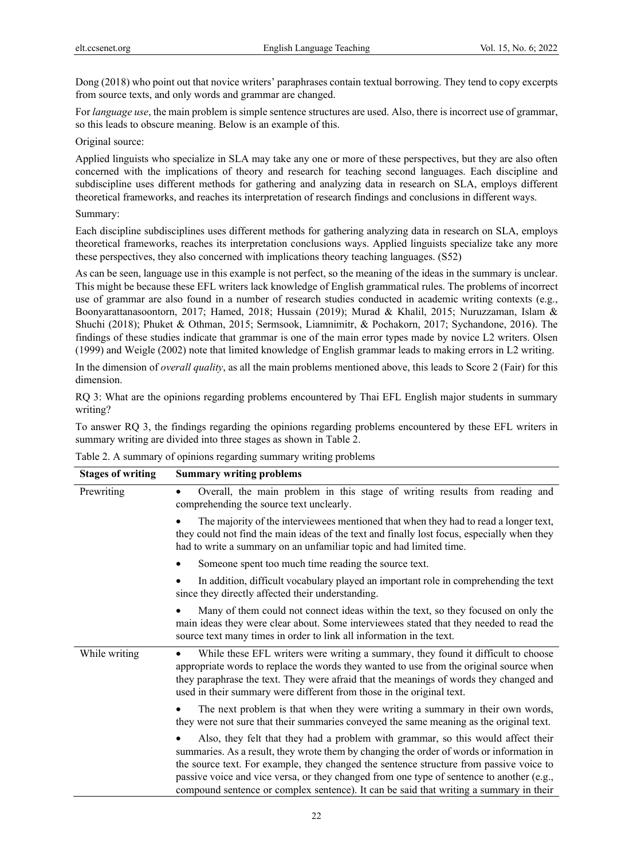Dong (2018) who point out that novice writers' paraphrases contain textual borrowing. They tend to copy excerpts from source texts, and only words and grammar are changed.

For *language use*, the main problem is simple sentence structures are used. Also, there is incorrect use of grammar, so this leads to obscure meaning. Below is an example of this.

## Original source:

Applied linguists who specialize in SLA may take any one or more of these perspectives, but they are also often concerned with the implications of theory and research for teaching second languages. Each discipline and subdiscipline uses different methods for gathering and analyzing data in research on SLA, employs different theoretical frameworks, and reaches its interpretation of research findings and conclusions in different ways.

## Summary:

Each discipline subdisciplines uses different methods for gathering analyzing data in research on SLA, employs theoretical frameworks, reaches its interpretation conclusions ways. Applied linguists specialize take any more these perspectives, they also concerned with implications theory teaching languages. (S52)

As can be seen, language use in this example is not perfect, so the meaning of the ideas in the summary is unclear. This might be because these EFL writers lack knowledge of English grammatical rules. The problems of incorrect use of grammar are also found in a number of research studies conducted in academic writing contexts (e.g., Boonyarattanasoontorn, 2017; Hamed, 2018; Hussain (2019); Murad & Khalil, 2015; Nuruzzaman, Islam & Shuchi (2018); Phuket & Othman, 2015; Sermsook, Liamnimitr, & Pochakorn, 2017; Sychandone, 2016). The findings of these studies indicate that grammar is one of the main error types made by novice L2 writers. Olsen (1999) and Weigle (2002) note that limited knowledge of English grammar leads to making errors in L2 writing.

In the dimension of *overall quality*, as all the main problems mentioned above, this leads to Score 2 (Fair) for this dimension.

RQ 3: What are the opinions regarding problems encountered by Thai EFL English major students in summary writing?

To answer RQ 3, the findings regarding the opinions regarding problems encountered by these EFL writers in summary writing are divided into three stages as shown in Table 2.

| <b>Stages of writing</b> | <b>Summary writing problems</b>                                                                                                                                                                                                                                                                                                                                                                                                                                |  |  |
|--------------------------|----------------------------------------------------------------------------------------------------------------------------------------------------------------------------------------------------------------------------------------------------------------------------------------------------------------------------------------------------------------------------------------------------------------------------------------------------------------|--|--|
| Prewriting               | Overall, the main problem in this stage of writing results from reading and<br>comprehending the source text unclearly.                                                                                                                                                                                                                                                                                                                                        |  |  |
|                          | The majority of the interviewees mentioned that when they had to read a longer text,<br>they could not find the main ideas of the text and finally lost focus, especially when they<br>had to write a summary on an unfamiliar topic and had limited time.                                                                                                                                                                                                     |  |  |
|                          | Someone spent too much time reading the source text.                                                                                                                                                                                                                                                                                                                                                                                                           |  |  |
|                          | In addition, difficult vocabulary played an important role in comprehending the text<br>since they directly affected their understanding.                                                                                                                                                                                                                                                                                                                      |  |  |
|                          | Many of them could not connect ideas within the text, so they focused on only the<br>main ideas they were clear about. Some interviewees stated that they needed to read the<br>source text many times in order to link all information in the text.                                                                                                                                                                                                           |  |  |
| While writing            | While these EFL writers were writing a summary, they found it difficult to choose<br>appropriate words to replace the words they wanted to use from the original source when<br>they paraphrase the text. They were afraid that the meanings of words they changed and<br>used in their summary were different from those in the original text.                                                                                                                |  |  |
|                          | The next problem is that when they were writing a summary in their own words,<br>they were not sure that their summaries conveyed the same meaning as the original text.                                                                                                                                                                                                                                                                                       |  |  |
|                          | Also, they felt that they had a problem with grammar, so this would affect their<br>summaries. As a result, they wrote them by changing the order of words or information in<br>the source text. For example, they changed the sentence structure from passive voice to<br>passive voice and vice versa, or they changed from one type of sentence to another (e.g.,<br>compound sentence or complex sentence). It can be said that writing a summary in their |  |  |

Table 2. A summary of opinions regarding summary writing problems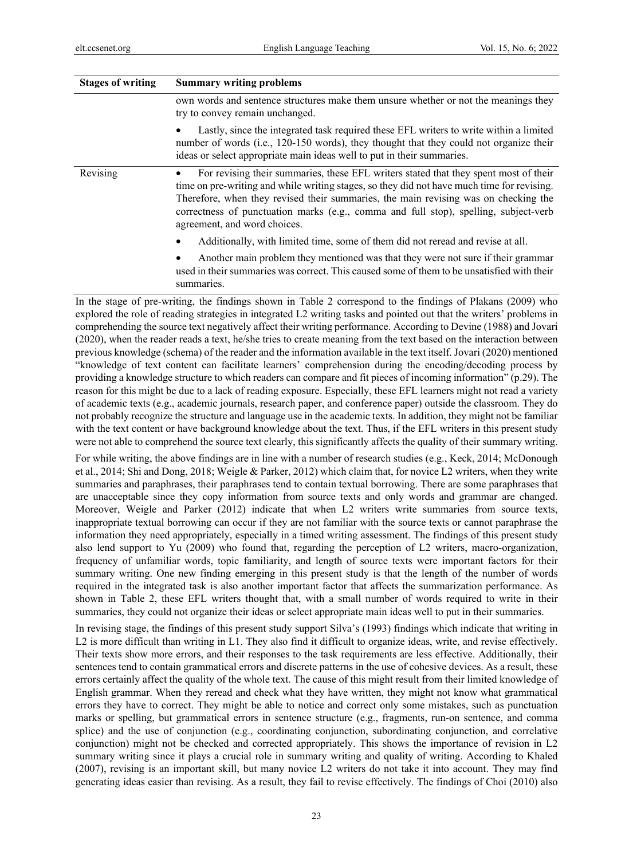| <b>Stages of writing</b> | <b>Summary writing problems</b>                                                                                                                                                                                                                                                                                                                                                                   |  |  |
|--------------------------|---------------------------------------------------------------------------------------------------------------------------------------------------------------------------------------------------------------------------------------------------------------------------------------------------------------------------------------------------------------------------------------------------|--|--|
|                          | own words and sentence structures make them unsure whether or not the meanings they<br>try to convey remain unchanged.                                                                                                                                                                                                                                                                            |  |  |
|                          | Lastly, since the integrated task required these EFL writers to write within a limited<br>number of words (i.e., 120-150 words), they thought that they could not organize their<br>ideas or select appropriate main ideas well to put in their summaries.                                                                                                                                        |  |  |
| Revising                 | For revising their summaries, these EFL writers stated that they spent most of their<br>time on pre-writing and while writing stages, so they did not have much time for revising.<br>Therefore, when they revised their summaries, the main revising was on checking the<br>correctness of punctuation marks (e.g., comma and full stop), spelling, subject-verb<br>agreement, and word choices. |  |  |
|                          | Additionally, with limited time, some of them did not reread and revise at all.                                                                                                                                                                                                                                                                                                                   |  |  |
|                          | Another main problem they mentioned was that they were not sure if their grammar<br>used in their summaries was correct. This caused some of them to be unsatisfied with their<br>summaries.                                                                                                                                                                                                      |  |  |

In the stage of pre-writing, the findings shown in Table 2 correspond to the findings of Plakans (2009) who explored the role of reading strategies in integrated L2 writing tasks and pointed out that the writers' problems in comprehending the source text negatively affect their writing performance. According to Devine (1988) and Jovari (2020), when the reader reads a text, he/she tries to create meaning from the text based on the interaction between previous knowledge (schema) of the reader and the information available in the text itself. Jovari (2020) mentioned "knowledge of text content can facilitate learners' comprehension during the encoding/decoding process by providing a knowledge structure to which readers can compare and fit pieces of incoming information" (p.29). The reason for this might be due to a lack of reading exposure. Especially, these EFL learners might not read a variety of academic texts (e.g., academic journals, research paper, and conference paper) outside the classroom. They do not probably recognize the structure and language use in the academic texts. In addition, they might not be familiar with the text content or have background knowledge about the text. Thus, if the EFL writers in this present study were not able to comprehend the source text clearly, this significantly affects the quality of their summary writing.

For while writing, the above findings are in line with a number of research studies (e.g., Keck, 2014; McDonough et al., 2014; Shi and Dong, 2018; Weigle & Parker, 2012) which claim that, for novice L2 writers, when they write summaries and paraphrases, their paraphrases tend to contain textual borrowing. There are some paraphrases that are unacceptable since they copy information from source texts and only words and grammar are changed. Moreover, Weigle and Parker (2012) indicate that when L2 writers write summaries from source texts, inappropriate textual borrowing can occur if they are not familiar with the source texts or cannot paraphrase the information they need appropriately, especially in a timed writing assessment. The findings of this present study also lend support to Yu (2009) who found that, regarding the perception of L2 writers, macro-organization, frequency of unfamiliar words, topic familiarity, and length of source texts were important factors for their summary writing. One new finding emerging in this present study is that the length of the number of words required in the integrated task is also another important factor that affects the summarization performance. As shown in Table 2, these EFL writers thought that, with a small number of words required to write in their summaries, they could not organize their ideas or select appropriate main ideas well to put in their summaries.

In revising stage, the findings of this present study support Silva's (1993) findings which indicate that writing in L2 is more difficult than writing in L1. They also find it difficult to organize ideas, write, and revise effectively. Their texts show more errors, and their responses to the task requirements are less effective. Additionally, their sentences tend to contain grammatical errors and discrete patterns in the use of cohesive devices. As a result, these errors certainly affect the quality of the whole text. The cause of this might result from their limited knowledge of English grammar. When they reread and check what they have written, they might not know what grammatical errors they have to correct. They might be able to notice and correct only some mistakes, such as punctuation marks or spelling, but grammatical errors in sentence structure (e.g., fragments, run-on sentence, and comma splice) and the use of conjunction (e.g., coordinating conjunction, subordinating conjunction, and correlative conjunction) might not be checked and corrected appropriately. This shows the importance of revision in L2 summary writing since it plays a crucial role in summary writing and quality of writing. According to Khaled (2007), revising is an important skill, but many novice L2 writers do not take it into account. They may find generating ideas easier than revising. As a result, they fail to revise effectively. The findings of Choi (2010) also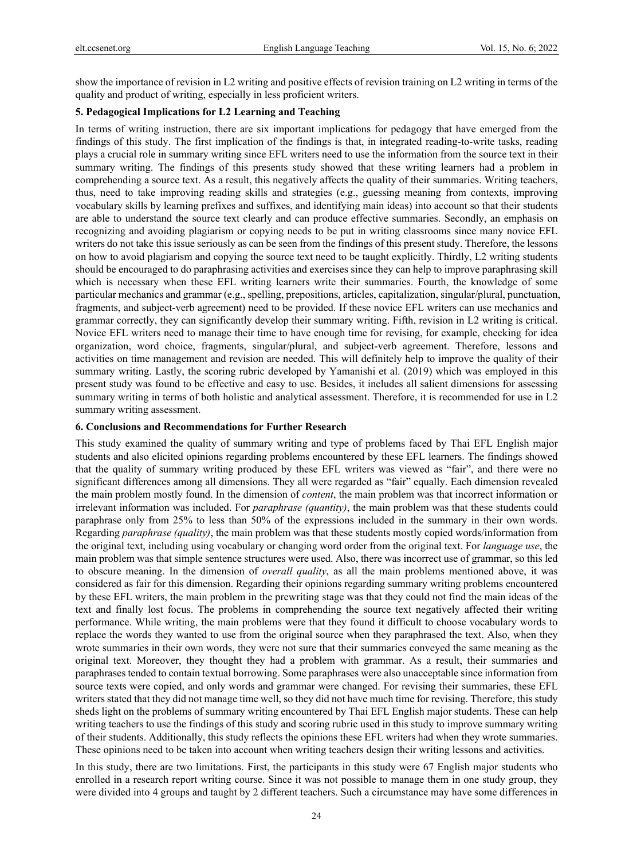show the importance of revision in L2 writing and positive effects of revision training on L2 writing in terms of the quality and product of writing, especially in less proficient writers.

## **5. Pedagogical Implications for L2 Learning and Teaching**

In terms of writing instruction, there are six important implications for pedagogy that have emerged from the findings of this study. The first implication of the findings is that, in integrated reading-to-write tasks, reading plays a crucial role in summary writing since EFL writers need to use the information from the source text in their summary writing. The findings of this presents study showed that these writing learners had a problem in comprehending a source text. As a result, this negatively affects the quality of their summaries. Writing teachers, thus, need to take improving reading skills and strategies (e.g., guessing meaning from contexts, improving vocabulary skills by learning prefixes and suffixes, and identifying main ideas) into account so that their students are able to understand the source text clearly and can produce effective summaries. Secondly, an emphasis on recognizing and avoiding plagiarism or copying needs to be put in writing classrooms since many novice EFL writers do not take this issue seriously as can be seen from the findings of this present study. Therefore, the lessons on how to avoid plagiarism and copying the source text need to be taught explicitly. Thirdly, L2 writing students should be encouraged to do paraphrasing activities and exercises since they can help to improve paraphrasing skill which is necessary when these EFL writing learners write their summaries. Fourth, the knowledge of some particular mechanics and grammar (e.g., spelling, prepositions, articles, capitalization, singular/plural, punctuation, fragments, and subject-verb agreement) need to be provided. If these novice EFL writers can use mechanics and grammar correctly, they can significantly develop their summary writing. Fifth, revision in L2 writing is critical. Novice EFL writers need to manage their time to have enough time for revising, for example, checking for idea organization, word choice, fragments, singular/plural, and subject-verb agreement. Therefore, lessons and activities on time management and revision are needed. This will definitely help to improve the quality of their summary writing. Lastly, the scoring rubric developed by Yamanishi et al. (2019) which was employed in this present study was found to be effective and easy to use. Besides, it includes all salient dimensions for assessing summary writing in terms of both holistic and analytical assessment. Therefore, it is recommended for use in L2 summary writing assessment.

#### **6. Conclusions and Recommendations for Further Research**

This study examined the quality of summary writing and type of problems faced by Thai EFL English major students and also elicited opinions regarding problems encountered by these EFL learners. The findings showed that the quality of summary writing produced by these EFL writers was viewed as "fair", and there were no significant differences among all dimensions. They all were regarded as "fair" equally. Each dimension revealed the main problem mostly found. In the dimension of *content*, the main problem was that incorrect information or irrelevant information was included. For *paraphrase (quantity)*, the main problem was that these students could paraphrase only from 25% to less than 50% of the expressions included in the summary in their own words. Regarding *paraphrase (quality)*, the main problem was that these students mostly copied words/information from the original text, including using vocabulary or changing word order from the original text. For *language use*, the main problem was that simple sentence structures were used. Also, there was incorrect use of grammar, so this led to obscure meaning. In the dimension of *overall quality*, as all the main problems mentioned above, it was considered as fair for this dimension. Regarding their opinions regarding summary writing problems encountered by these EFL writers, the main problem in the prewriting stage was that they could not find the main ideas of the text and finally lost focus. The problems in comprehending the source text negatively affected their writing performance. While writing, the main problems were that they found it difficult to choose vocabulary words to replace the words they wanted to use from the original source when they paraphrased the text. Also, when they wrote summaries in their own words, they were not sure that their summaries conveyed the same meaning as the original text. Moreover, they thought they had a problem with grammar. As a result, their summaries and paraphrases tended to contain textual borrowing. Some paraphrases were also unacceptable since information from source texts were copied, and only words and grammar were changed. For revising their summaries, these EFL writers stated that they did not manage time well, so they did not have much time for revising. Therefore, this study sheds light on the problems of summary writing encountered by Thai EFL English major students. These can help writing teachers to use the findings of this study and scoring rubric used in this study to improve summary writing of their students. Additionally, this study reflects the opinions these EFL writers had when they wrote summaries. These opinions need to be taken into account when writing teachers design their writing lessons and activities.

In this study, there are two limitations. First, the participants in this study were 67 English major students who enrolled in a research report writing course. Since it was not possible to manage them in one study group, they were divided into 4 groups and taught by 2 different teachers. Such a circumstance may have some differences in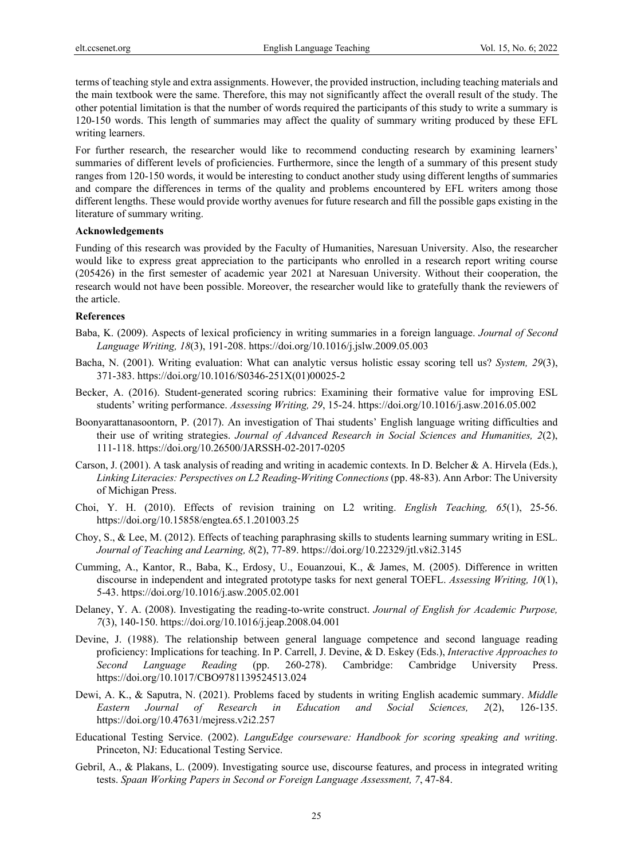terms of teaching style and extra assignments. However, the provided instruction, including teaching materials and the main textbook were the same. Therefore, this may not significantly affect the overall result of the study. The other potential limitation is that the number of words required the participants of this study to write a summary is 120-150 words. This length of summaries may affect the quality of summary writing produced by these EFL writing learners.

For further research, the researcher would like to recommend conducting research by examining learners' summaries of different levels of proficiencies. Furthermore, since the length of a summary of this present study ranges from 120-150 words, it would be interesting to conduct another study using different lengths of summaries and compare the differences in terms of the quality and problems encountered by EFL writers among those different lengths. These would provide worthy avenues for future research and fill the possible gaps existing in the literature of summary writing.

# **Acknowledgements**

Funding of this research was provided by the Faculty of Humanities, Naresuan University. Also, the researcher would like to express great appreciation to the participants who enrolled in a research report writing course (205426) in the first semester of academic year 2021 at Naresuan University. Without their cooperation, the research would not have been possible. Moreover, the researcher would like to gratefully thank the reviewers of the article.

#### **References**

- Baba, K. (2009). Aspects of lexical proficiency in writing summaries in a foreign language. *Journal of Second Language Writing, 18*(3), 191-208. https://doi.org/10.1016/j.jslw.2009.05.003
- Bacha, N. (2001). Writing evaluation: What can analytic versus holistic essay scoring tell us? *System, 29*(3), 371-383. https://doi.org/10.1016/S0346-251X(01)00025-2
- Becker, A. (2016). Student-generated scoring rubrics: Examining their formative value for improving ESL students' writing performance. *Assessing Writing, 29*, 15-24. https://doi.org/10.1016/j.asw.2016.05.002
- Boonyarattanasoontorn, P. (2017). An investigation of Thai students' English language writing difficulties and their use of writing strategies. *Journal of Advanced Research in Social Sciences and Humanities, 2*(2), 111-118. https://doi.org/10.26500/JARSSH-02-2017-0205
- Carson, J. (2001). A task analysis of reading and writing in academic contexts. In D. Belcher & A. Hirvela (Eds.), *Linking Literacies: Perspectives on L2 Reading-Writing Connections* (pp. 48-83). Ann Arbor: The University of Michigan Press.
- Choi, Y. H. (2010). Effects of revision training on L2 writing. *English Teaching, 65*(1), 25-56. https://doi.org/10.15858/engtea.65.1.201003.25
- Choy, S., & Lee, M. (2012). Effects of teaching paraphrasing skills to students learning summary writing in ESL. *Journal of Teaching and Learning, 8*(2), 77-89. https://doi.org/10.22329/jtl.v8i2.3145
- Cumming, A., Kantor, R., Baba, K., Erdosy, U., Eouanzoui, K., & James, M. (2005). Difference in written discourse in independent and integrated prototype tasks for next general TOEFL. *Assessing Writing, 10*(1), 5-43. https://doi.org/10.1016/j.asw.2005.02.001
- Delaney, Y. A. (2008). Investigating the reading-to-write construct. *Journal of English for Academic Purpose, 7*(3), 140-150. https://doi.org/10.1016/j.jeap.2008.04.001
- Devine, J. (1988). The relationship between general language competence and second language reading proficiency: Implications for teaching. In P. Carrell, J. Devine, & D. Eskey (Eds.), *Interactive Approaches to Second Language Reading* (pp. 260-278). Cambridge: Cambridge University Press. https://doi.org/10.1017/CBO9781139524513.024
- Dewi, A. K., & Saputra, N. (2021). Problems faced by students in writing English academic summary. *Middle Eastern Journal of Research in Education and Social Sciences, 2*(2), 126-135. https://doi.org/10.47631/mejress.v2i2.257
- Educational Testing Service. (2002). *LanguEdge courseware: Handbook for scoring speaking and writing*. Princeton, NJ: Educational Testing Service.
- Gebril, A., & Plakans, L. (2009). Investigating source use, discourse features, and process in integrated writing tests. *Spaan Working Papers in Second or Foreign Language Assessment, 7*, 47-84.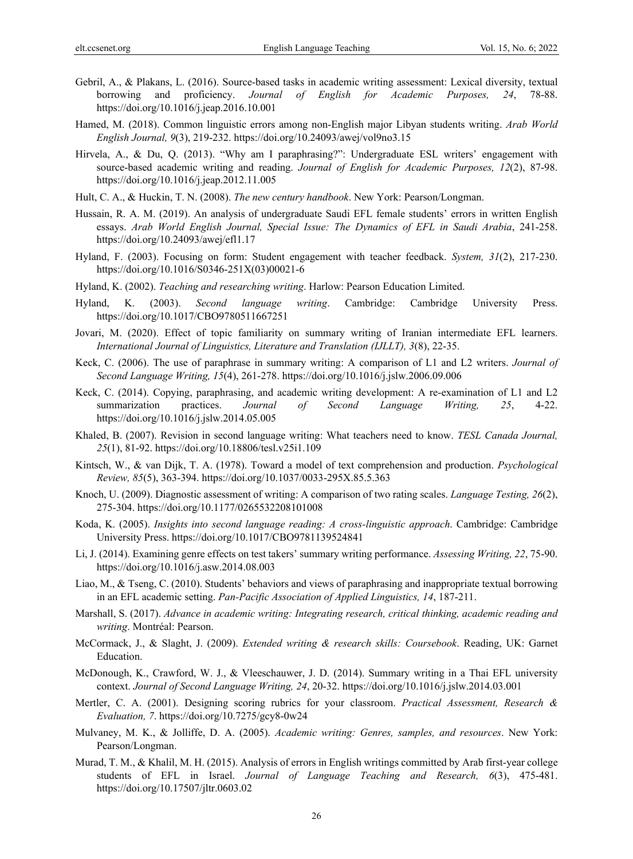- Gebril, A., & Plakans, L. (2016). Source-based tasks in academic writing assessment: Lexical diversity, textual borrowing and proficiency. *Journal of English for Academic Purposes, 24*, 78-88. https://doi.org/10.1016/j.jeap.2016.10.001
- Hamed, M. (2018). Common linguistic errors among non-English major Libyan students writing. *Arab World English Journal, 9*(3), 219-232. https://doi.org/10.24093/awej/vol9no3.15
- Hirvela, A., & Du, Q. (2013). "Why am I paraphrasing?": Undergraduate ESL writers' engagement with source-based academic writing and reading. *Journal of English for Academic Purposes, 12*(2), 87-98. https://doi.org/10.1016/j.jeap.2012.11.005
- Hult, C. A., & Huckin, T. N. (2008). *The new century handbook*. New York: Pearson/Longman.
- Hussain, R. A. M. (2019). An analysis of undergraduate Saudi EFL female students' errors in written English essays. *Arab World English Journal, Special Issue: The Dynamics of EFL in Saudi Arabia*, 241-258. https://doi.org/10.24093/awej/efl1.17
- Hyland, F. (2003). Focusing on form: Student engagement with teacher feedback. *System, 31*(2), 217-230. https://doi.org/10.1016/S0346-251X(03)00021-6
- Hyland, K. (2002). *Teaching and researching writing*. Harlow: Pearson Education Limited.
- Hyland, K. (2003). *Second language writing*. Cambridge: Cambridge University Press. https://doi.org/10.1017/CBO9780511667251
- Jovari, M. (2020). Effect of topic familiarity on summary writing of Iranian intermediate EFL learners. *International Journal of Linguistics, Literature and Translation (IJLLT), 3*(8), 22-35.
- Keck, C. (2006). The use of paraphrase in summary writing: A comparison of L1 and L2 writers. *Journal of Second Language Writing, 15*(4), 261-278. https://doi.org/10.1016/j.jslw.2006.09.006
- Keck, C. (2014). Copying, paraphrasing, and academic writing development: A re-examination of L1 and L2 summarization practices. *Journal of Second Language Writing, 25*, 4-22. https://doi.org/10.1016/j.jslw.2014.05.005
- Khaled, B. (2007). Revision in second language writing: What teachers need to know. *TESL Canada Journal, 25*(1), 81-92. https://doi.org/10.18806/tesl.v25i1.109
- Kintsch, W., & van Dijk, T. A. (1978). Toward a model of text comprehension and production. *Psychological Review, 85*(5), 363-394. https://doi.org/10.1037/0033-295X.85.5.363
- Knoch, U. (2009). Diagnostic assessment of writing: A comparison of two rating scales. *Language Testing, 26*(2), 275-304. https://doi.org/10.1177/0265532208101008
- Koda, K. (2005). *Insights into second language reading: A cross-linguistic approach*. Cambridge: Cambridge University Press. https://doi.org/10.1017/CBO9781139524841
- Li, J. (2014). Examining genre effects on test takers' summary writing performance. *Assessing Writing, 22*, 75-90. https://doi.org/10.1016/j.asw.2014.08.003
- Liao, M., & Tseng, C. (2010). Students' behaviors and views of paraphrasing and inappropriate textual borrowing in an EFL academic setting. *Pan-Pacific Association of Applied Linguistics, 14*, 187-211.
- Marshall, S. (2017). *Advance in academic writing: Integrating research, critical thinking, academic reading and writing*. Montréal: Pearson.
- McCormack, J., & Slaght, J. (2009). *Extended writing & research skills: Coursebook*. Reading, UK: Garnet Education.
- McDonough, K., Crawford, W. J., & Vleeschauwer, J. D. (2014). Summary writing in a Thai EFL university context. *Journal of Second Language Writing, 24*, 20-32. https://doi.org/10.1016/j.jslw.2014.03.001
- Mertler, C. A. (2001). Designing scoring rubrics for your classroom. *Practical Assessment, Research & Evaluation, 7*. https://doi.org/10.7275/gcy8-0w24
- Mulvaney, M. K., & Jolliffe, D. A. (2005). *Academic writing: Genres, samples, and resources*. New York: Pearson/Longman.
- Murad, T. M., & Khalil, M. H. (2015). Analysis of errors in English writings committed by Arab first-year college students of EFL in Israel. *Journal of Language Teaching and Research, 6*(3), 475-481. https://doi.org/10.17507/jltr.0603.02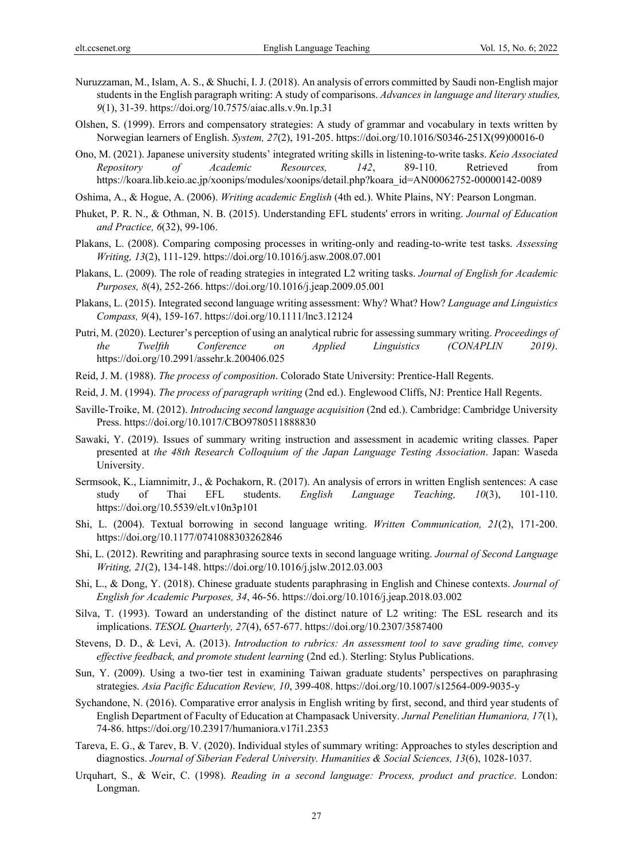- Nuruzzaman, M., Islam, A. S., & Shuchi, I. J. (2018). An analysis of errors committed by Saudi non-English major students in the English paragraph writing: A study of comparisons. *Advances in language and literary studies, 9*(1), 31-39. https://doi.org/10.7575/aiac.alls.v.9n.1p.31
- Olshen, S. (1999). Errors and compensatory strategies: A study of grammar and vocabulary in texts written by Norwegian learners of English. *System, 27*(2), 191-205. https://doi.org/10.1016/S0346-251X(99)00016-0
- Ono, M. (2021). Japanese university students' integrated writing skills in listening-to-write tasks. *Keio Associated Repository of Academic Resources, 142*, 89-110. Retrieved from https://koara.lib.keio.ac.jp/xoonips/modules/xoonips/detail.php?koara\_id=AN00062752-00000142-0089
- Oshima, A., & Hogue, A. (2006). *Writing academic English* (4th ed.). White Plains, NY: Pearson Longman.
- Phuket, P. R. N., & Othman, N. B. (2015). Understanding EFL students' errors in writing. *Journal of Education and Practice, 6*(32), 99-106.
- Plakans, L. (2008). Comparing composing processes in writing-only and reading-to-write test tasks. *Assessing Writing, 13*(2), 111-129. https://doi.org/10.1016/j.asw.2008.07.001
- Plakans, L. (2009). The role of reading strategies in integrated L2 writing tasks. *Journal of English for Academic Purposes, 8*(4), 252-266. https://doi.org/10.1016/j.jeap.2009.05.001
- Plakans, L. (2015). Integrated second language writing assessment: Why? What? How? *Language and Linguistics Compass, 9*(4), 159-167. https://doi.org/10.1111/lnc3.12124
- Putri, M. (2020). Lecturer's perception of using an analytical rubric for assessing summary writing. *Proceedings of the Twelfth Conference on Applied Linguistics (CONAPLIN 2019)*. https://doi.org/10.2991/assehr.k.200406.025
- Reid, J. M. (1988). *The process of composition*. Colorado State University: Prentice-Hall Regents.
- Reid, J. M. (1994). *The process of paragraph writing* (2nd ed.). Englewood Cliffs, NJ: Prentice Hall Regents.
- Saville-Troike, M. (2012). *Introducing second language acquisition* (2nd ed.). Cambridge: Cambridge University Press. https://doi.org/10.1017/CBO9780511888830
- Sawaki, Y. (2019). Issues of summary writing instruction and assessment in academic writing classes. Paper presented at *the 48th Research Colloquium of the Japan Language Testing Association*. Japan: Waseda University.
- Sermsook, K., Liamnimitr, J., & Pochakorn, R. (2017). An analysis of errors in written English sentences: A case study of Thai EFL students. *English Language Teaching, 10*(3), 101-110. https://doi.org/10.5539/elt.v10n3p101
- Shi, L. (2004). Textual borrowing in second language writing. *Written Communication, 21*(2), 171-200. https://doi.org/10.1177/0741088303262846
- Shi, L. (2012). Rewriting and paraphrasing source texts in second language writing. *Journal of Second Language Writing, 21*(2), 134-148. https://doi.org/10.1016/j.jslw.2012.03.003
- Shi, L., & Dong, Y. (2018). Chinese graduate students paraphrasing in English and Chinese contexts. *Journal of English for Academic Purposes, 34*, 46-56. https://doi.org/10.1016/j.jeap.2018.03.002
- Silva, T. (1993). Toward an understanding of the distinct nature of L2 writing: The ESL research and its implications. *TESOL Quarterly, 27*(4), 657-677. https://doi.org/10.2307/3587400
- Stevens, D. D., & Levi, A. (2013). *Introduction to rubrics: An assessment tool to save grading time, convey effective feedback, and promote student learning* (2nd ed.). Sterling: Stylus Publications.
- Sun, Y. (2009). Using a two-tier test in examining Taiwan graduate students' perspectives on paraphrasing strategies. *Asia Pacific Education Review, 10*, 399-408. https://doi.org/10.1007/s12564-009-9035-y
- Sychandone, N. (2016). Comparative error analysis in English writing by first, second, and third year students of English Department of Faculty of Education at Champasack University. *Jurnal Penelitian Humaniora, 17*(1), 74-86. https://doi.org/10.23917/humaniora.v17i1.2353
- Tareva, E. G., & Tarev, B. V. (2020). Individual styles of summary writing: Approaches to styles description and diagnostics. *Journal of Siberian Federal University. Humanities & Social Sciences, 13*(6), 1028-1037.
- Urquhart, S., & Weir, C. (1998). *Reading in a second language: Process, product and practice*. London: Longman.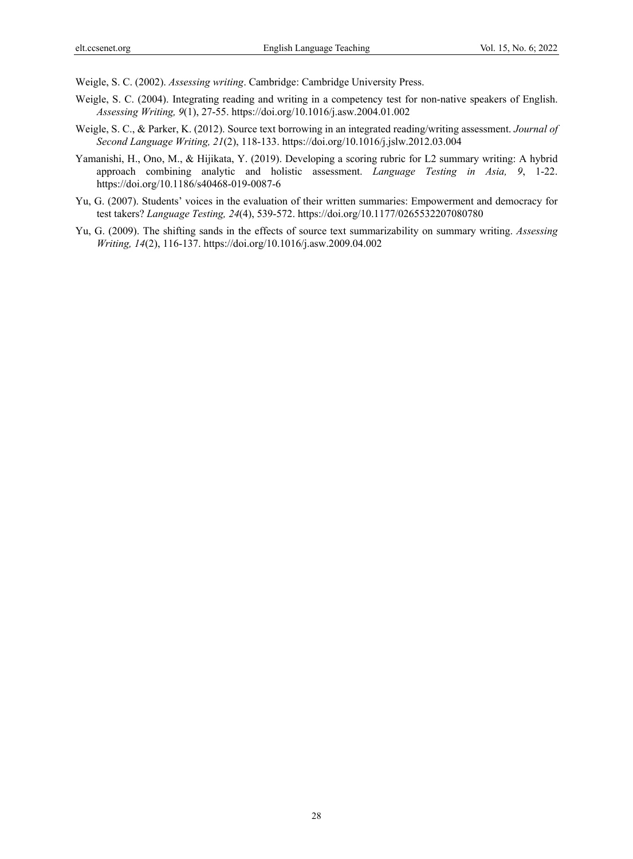Weigle, S. C. (2002). *Assessing writing*. Cambridge: Cambridge University Press.

- Weigle, S. C. (2004). Integrating reading and writing in a competency test for non-native speakers of English. *Assessing Writing, 9*(1), 27-55. https://doi.org/10.1016/j.asw.2004.01.002
- Weigle, S. C., & Parker, K. (2012). Source text borrowing in an integrated reading/writing assessment. *Journal of Second Language Writing, 21*(2), 118-133. https://doi.org/10.1016/j.jslw.2012.03.004
- Yamanishi, H., Ono, M., & Hijikata, Y. (2019). Developing a scoring rubric for L2 summary writing: A hybrid approach combining analytic and holistic assessment. *Language Testing in Asia, 9*, 1-22. https://doi.org/10.1186/s40468-019-0087-6
- Yu, G. (2007). Students' voices in the evaluation of their written summaries: Empowerment and democracy for test takers? *Language Testing, 24*(4), 539-572. https://doi.org/10.1177/0265532207080780
- Yu, G. (2009). The shifting sands in the effects of source text summarizability on summary writing. *Assessing Writing, 14*(2), 116-137. https://doi.org/10.1016/j.asw.2009.04.002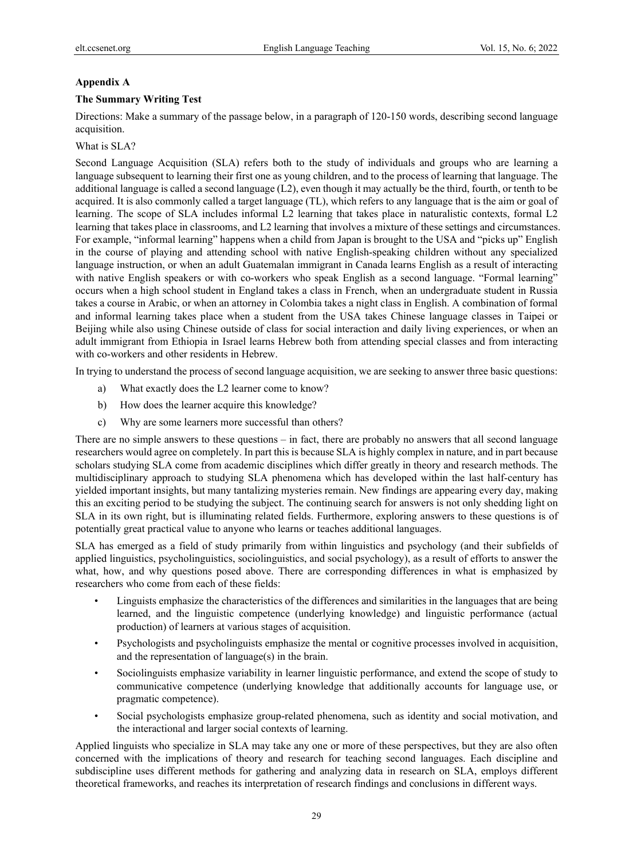# **Appendix A**

# **The Summary Writing Test**

Directions: Make a summary of the passage below, in a paragraph of 120-150 words, describing second language acquisition.

## What is SLA?

Second Language Acquisition (SLA) refers both to the study of individuals and groups who are learning a language subsequent to learning their first one as young children, and to the process of learning that language. The additional language is called a second language (L2), even though it may actually be the third, fourth, or tenth to be acquired. It is also commonly called a target language (TL), which refers to any language that is the aim or goal of learning. The scope of SLA includes informal L2 learning that takes place in naturalistic contexts, formal L2 learning that takes place in classrooms, and L2 learning that involves a mixture of these settings and circumstances. For example, "informal learning" happens when a child from Japan is brought to the USA and "picks up" English in the course of playing and attending school with native English-speaking children without any specialized language instruction, or when an adult Guatemalan immigrant in Canada learns English as a result of interacting with native English speakers or with co-workers who speak English as a second language. "Formal learning" occurs when a high school student in England takes a class in French, when an undergraduate student in Russia takes a course in Arabic, or when an attorney in Colombia takes a night class in English. A combination of formal and informal learning takes place when a student from the USA takes Chinese language classes in Taipei or Beijing while also using Chinese outside of class for social interaction and daily living experiences, or when an adult immigrant from Ethiopia in Israel learns Hebrew both from attending special classes and from interacting with co-workers and other residents in Hebrew.

In trying to understand the process of second language acquisition, we are seeking to answer three basic questions:

- a) What exactly does the L2 learner come to know?
- b) How does the learner acquire this knowledge?
- c) Why are some learners more successful than others?

There are no simple answers to these questions – in fact, there are probably no answers that all second language researchers would agree on completely. In part this is because SLA is highly complex in nature, and in part because scholars studying SLA come from academic disciplines which differ greatly in theory and research methods. The multidisciplinary approach to studying SLA phenomena which has developed within the last half-century has yielded important insights, but many tantalizing mysteries remain. New findings are appearing every day, making this an exciting period to be studying the subject. The continuing search for answers is not only shedding light on SLA in its own right, but is illuminating related fields. Furthermore, exploring answers to these questions is of potentially great practical value to anyone who learns or teaches additional languages.

SLA has emerged as a field of study primarily from within linguistics and psychology (and their subfields of applied linguistics, psycholinguistics, sociolinguistics, and social psychology), as a result of efforts to answer the what, how, and why questions posed above. There are corresponding differences in what is emphasized by researchers who come from each of these fields:

- Linguists emphasize the characteristics of the differences and similarities in the languages that are being learned, and the linguistic competence (underlying knowledge) and linguistic performance (actual production) of learners at various stages of acquisition.
- Psychologists and psycholinguists emphasize the mental or cognitive processes involved in acquisition, and the representation of language(s) in the brain.
- Sociolinguists emphasize variability in learner linguistic performance, and extend the scope of study to communicative competence (underlying knowledge that additionally accounts for language use, or pragmatic competence).
- Social psychologists emphasize group-related phenomena, such as identity and social motivation, and the interactional and larger social contexts of learning.

Applied linguists who specialize in SLA may take any one or more of these perspectives, but they are also often concerned with the implications of theory and research for teaching second languages. Each discipline and subdiscipline uses different methods for gathering and analyzing data in research on SLA, employs different theoretical frameworks, and reaches its interpretation of research findings and conclusions in different ways.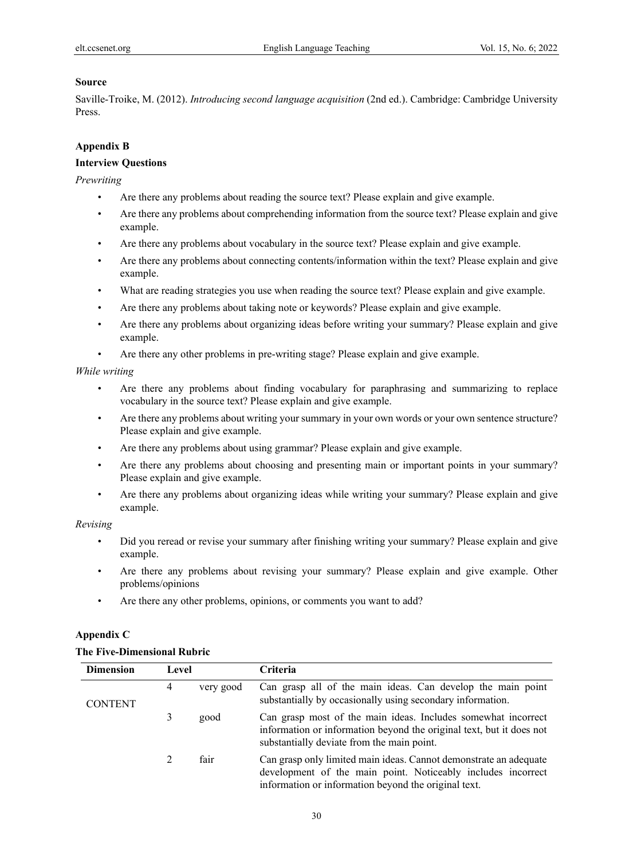## **Source**

Saville-Troike, M. (2012). *Introducing second language acquisition* (2nd ed.). Cambridge: Cambridge University Press.

# **Appendix B**

# **Interview Questions**

*Prewriting* 

- Are there any problems about reading the source text? Please explain and give example.
- Are there any problems about comprehending information from the source text? Please explain and give example.
- Are there any problems about vocabulary in the source text? Please explain and give example.
- Are there any problems about connecting contents/information within the text? Please explain and give example.
- What are reading strategies you use when reading the source text? Please explain and give example.
- Are there any problems about taking note or keywords? Please explain and give example.
- Are there any problems about organizing ideas before writing your summary? Please explain and give example.
- Are there any other problems in pre-writing stage? Please explain and give example.

## *While writing*

- Are there any problems about finding vocabulary for paraphrasing and summarizing to replace vocabulary in the source text? Please explain and give example.
- Are there any problems about writing your summary in your own words or your own sentence structure? Please explain and give example.
- Are there any problems about using grammar? Please explain and give example.
- Are there any problems about choosing and presenting main or important points in your summary? Please explain and give example.
- Are there any problems about organizing ideas while writing your summary? Please explain and give example.

## *Revising*

- Did you reread or revise your summary after finishing writing your summary? Please explain and give example.
- Are there any problems about revising your summary? Please explain and give example. Other problems/opinions
- Are there any other problems, opinions, or comments you want to add?

# **Appendix C**

| <b>Dimension</b> | Level          |           | <b>Criteria</b>                                                                                                                                                                           |
|------------------|----------------|-----------|-------------------------------------------------------------------------------------------------------------------------------------------------------------------------------------------|
| <b>CONTENT</b>   | 4              | very good | Can grasp all of the main ideas. Can develop the main point<br>substantially by occasionally using secondary information.                                                                 |
|                  | 3              | good      | Can grasp most of the main ideas. Includes somewhat incorrect<br>information or information beyond the original text, but it does not<br>substantially deviate from the main point.       |
|                  | $\mathfrak{D}$ | fair      | Can grasp only limited main ideas. Cannot demonstrate an adequate<br>development of the main point. Noticeably includes incorrect<br>information or information beyond the original text. |